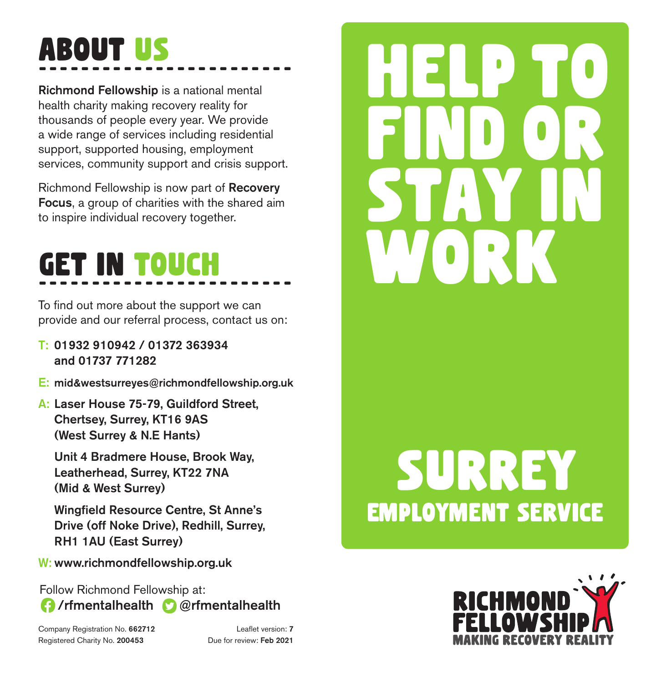## About US ------------------------

**Richmond Fellowship** is a national mental health charity making recovery reality for thousands of people every year. We provide a wide range of services including residential support, supported housing, employment services, community support and crisis support.

Richmond Fellowship is now part of **Recovery Focus**, a group of charities with the shared aim to inspire individual recovery together.

## The Country of States with the Shares and the covery together. ------------------------

To find out more about the support we can provide and our referral process, contact us on:

- **T: 01932 910942 / 01372 363934 and 01737 771282**
- **E: mid&westsurreyes@richmondfellowship.org.uk**
- **A: Laser House 75-79, Guildford Street, Chertsey, Surrey, KT16 9AS (West Surrey & N.E Hants)**

**Unit 4 Bradmere House, Brook Way, Leatherhead, Surrey, KT22 7NA (Mid & West Surrey)**

**Wingfield Resource Centre, St Anne's Drive (off Noke Drive), Redhill, Surrey, RH1 1AU (East Surrey)**

**W: www.richmondfellowship.org.uk**

Follow Richmond Fellowship at: **/rfmentalhealth @rfmentalhealth** 

Company Registration No. **662712** Leaflet version: **7** Registered Charity No. **200453** Due for review: **Feb 2021**

# employment service SURREY

help to

find or

stay in